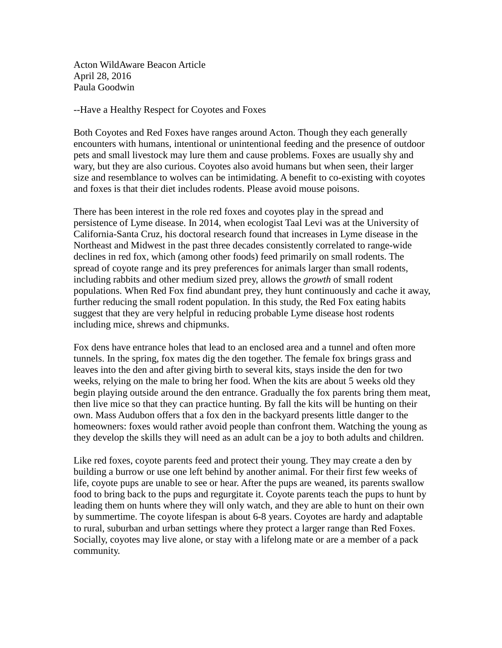Acton WildAware Beacon Article April 28, 2016 Paula Goodwin

--Have a Healthy Respect for Coyotes and Foxes

Both Coyotes and Red Foxes have ranges around Acton. Though they each generally encounters with humans, intentional or unintentional feeding and the presence of outdoor pets and small livestock may lure them and cause problems. Foxes are usually shy and wary, but they are also curious. Coyotes also avoid humans but when seen, their larger size and resemblance to wolves can be intimidating. A benefit to co-existing with coyotes and foxes is that their diet includes rodents. Please avoid mouse poisons.

There has been interest in the role red foxes and coyotes play in the spread and persistence of Lyme disease. In 2014, when ecologist Taal Levi was at the University of California-Santa Cruz, his doctoral research found that increases in Lyme disease in the Northeast and Midwest in the past three decades consistently correlated to range-wide declines in red fox, which (among other foods) feed primarily on small rodents. The spread of coyote range and its prey preferences for animals larger than small rodents, including rabbits and other medium sized prey, allows the *growth* of small rodent populations. When Red Fox find abundant prey, they hunt continuously and cache it away, further reducing the small rodent population. In this study, the Red Fox eating habits suggest that they are very helpful in reducing probable Lyme disease host rodents including mice, shrews and chipmunks.

Fox dens have entrance holes that lead to an enclosed area and a tunnel and often more tunnels. In the spring, fox mates dig the den together. The female fox brings grass and leaves into the den and after giving birth to several kits, stays inside the den for two weeks, relying on the male to bring her food. When the kits are about 5 weeks old they begin playing outside around the den entrance. Gradually the fox parents bring them meat, then live mice so that they can practice hunting. By fall the kits will be hunting on their own. Mass Audubon offers that a fox den in the backyard presents little danger to the homeowners: foxes would rather avoid people than confront them. Watching the young as they develop the skills they will need as an adult can be a joy to both adults and children.

Like red foxes, coyote parents feed and protect their young. They may create a den by building a burrow or use one left behind by another animal. For their first few weeks of life, coyote pups are unable to see or hear. After the pups are weaned, its parents swallow food to bring back to the pups and regurgitate it. Coyote parents teach the pups to hunt by leading them on hunts where they will only watch, and they are able to hunt on their own by summertime. The coyote lifespan is about 6-8 years. Coyotes are hardy and adaptable to rural, suburban and urban settings where they protect a larger range than Red Foxes. Socially, coyotes may live alone, or stay with a lifelong mate or are a member of a pack community.